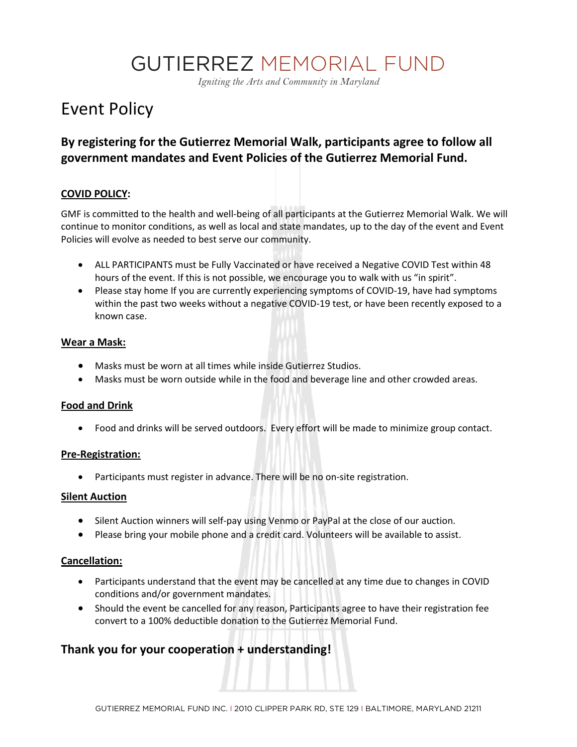# GUTIERREZ MEMORIAL FUND

*Igniting the Arts and Community in Maryland*

## Event Policy

### **By registering for the Gutierrez Memorial Walk, participants agree to follow all government mandates and Event Policies of the Gutierrez Memorial Fund.**

#### **COVID POLICY:**

GMF is committed to the health and well-being of all participants at the Gutierrez Memorial Walk. We will continue to monitor conditions, as well as local and state mandates, up to the day of the event and Event Policies will evolve as needed to best serve our community.

- ALL PARTICIPANTS must be Fully Vaccinated or have received a Negative COVID Test within 48 hours of the event. If this is not possible, we encourage you to walk with us "in spirit".
- Please stay home If you are currently experiencing symptoms of COVID-19, have had symptoms within the past two weeks without a negative COVID-19 test, or have been recently exposed to a known case.

#### **Wear a Mask:**

- Masks must be worn at all times while inside Gutierrez Studios.
- Masks must be worn outside while in the food and beverage line and other crowded areas.

#### **Food and Drink**

• Food and drinks will be served outdoors. Every effort will be made to minimize group contact.

#### **Pre-Registration:**

• Participants must register in advance. There will be no on-site registration.

#### **Silent Auction**

- Silent Auction winners will self-pay using Venmo or PayPal at the close of our auction.
- Please bring your mobile phone and a credit card. Volunteers will be available to assist.

#### **Cancellation:**

- Participants understand that the event may be cancelled at any time due to changes in COVID conditions and/or government mandates.
- Should the event be cancelled for any reason, Participants agree to have their registration fee convert to a 100% deductible donation to the Gutierrez Memorial Fund.

### **Thank you for your cooperation + understanding!**